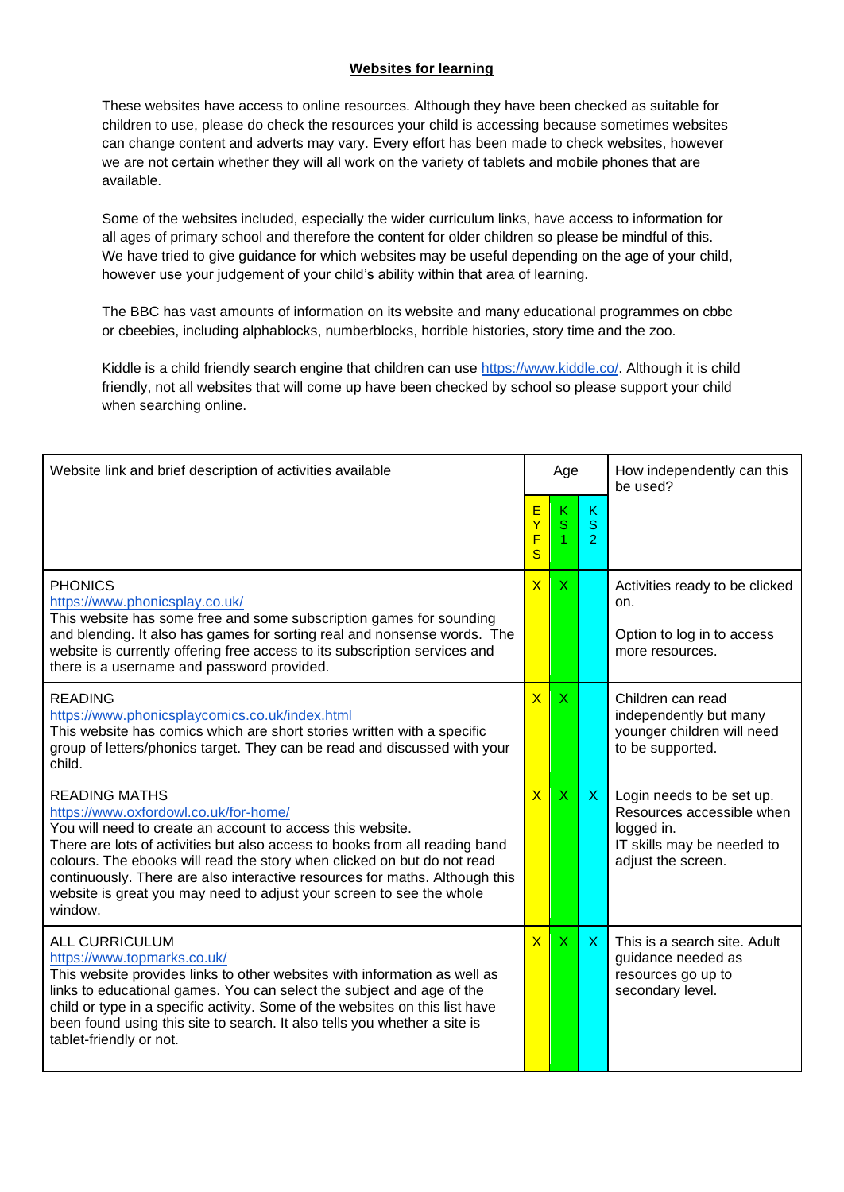## **Websites for learning**

These websites have access to online resources. Although they have been checked as suitable for children to use, please do check the resources your child is accessing because sometimes websites can change content and adverts may vary. Every effort has been made to check websites, however we are not certain whether they will all work on the variety of tablets and mobile phones that are available.

Some of the websites included, especially the wider curriculum links, have access to information for all ages of primary school and therefore the content for older children so please be mindful of this. We have tried to give guidance for which websites may be useful depending on the age of your child, however use your judgement of your child's ability within that area of learning.

The BBC has vast amounts of information on its website and many educational programmes on cbbc or cbeebies, including alphablocks, numberblocks, horrible histories, story time and the zoo.

Kiddle is a child friendly search engine that children can use [https://www.kiddle.co/.](https://www.kiddle.co/) Although it is child friendly, not all websites that will come up have been checked by school so please support your child when searching online.

| Website link and brief description of activities available                                                                                                                                                                                                                                                                                                                                                                                              | Age                         |                                    |                                    | How independently can this<br>be used?                                                                                   |  |
|---------------------------------------------------------------------------------------------------------------------------------------------------------------------------------------------------------------------------------------------------------------------------------------------------------------------------------------------------------------------------------------------------------------------------------------------------------|-----------------------------|------------------------------------|------------------------------------|--------------------------------------------------------------------------------------------------------------------------|--|
|                                                                                                                                                                                                                                                                                                                                                                                                                                                         | Ε<br>Ÿ<br>$\mathsf{F}$<br>S | Κ<br>$\mathbf S$<br>$\overline{1}$ | Κ<br>$\mathbf S$<br>$\overline{2}$ |                                                                                                                          |  |
| <b>PHONICS</b><br>https://www.phonicsplay.co.uk/<br>This website has some free and some subscription games for sounding<br>and blending. It also has games for sorting real and nonsense words. The<br>website is currently offering free access to its subscription services and<br>there is a username and password provided.                                                                                                                         | $\overline{X}$              | $\overline{X}$                     |                                    | Activities ready to be clicked<br>on.<br>Option to log in to access<br>more resources.                                   |  |
| <b>READING</b><br>https://www.phonicsplaycomics.co.uk/index.html<br>This website has comics which are short stories written with a specific<br>group of letters/phonics target. They can be read and discussed with your<br>child.                                                                                                                                                                                                                      | $\overline{\mathsf{X}}$     | $\mathsf{X}$                       |                                    | Children can read<br>independently but many<br>younger children will need<br>to be supported.                            |  |
| <b>READING MATHS</b><br>https://www.oxfordowl.co.uk/for-home/<br>You will need to create an account to access this website.<br>There are lots of activities but also access to books from all reading band<br>colours. The ebooks will read the story when clicked on but do not read<br>continuously. There are also interactive resources for maths. Although this<br>website is great you may need to adjust your screen to see the whole<br>window. | $\overline{\mathsf{X}}$     | $\overline{X}$                     | $\mathsf{X}$                       | Login needs to be set up.<br>Resources accessible when<br>logged in.<br>IT skills may be needed to<br>adjust the screen. |  |
| <b>ALL CURRICULUM</b><br>https://www.topmarks.co.uk/<br>This website provides links to other websites with information as well as<br>links to educational games. You can select the subject and age of the<br>child or type in a specific activity. Some of the websites on this list have<br>been found using this site to search. It also tells you whether a site is<br>tablet-friendly or not.                                                      | $\overline{X}$              | $\overline{X}$                     | $\mathsf{X}$                       | This is a search site. Adult<br>guidance needed as<br>resources go up to<br>secondary level.                             |  |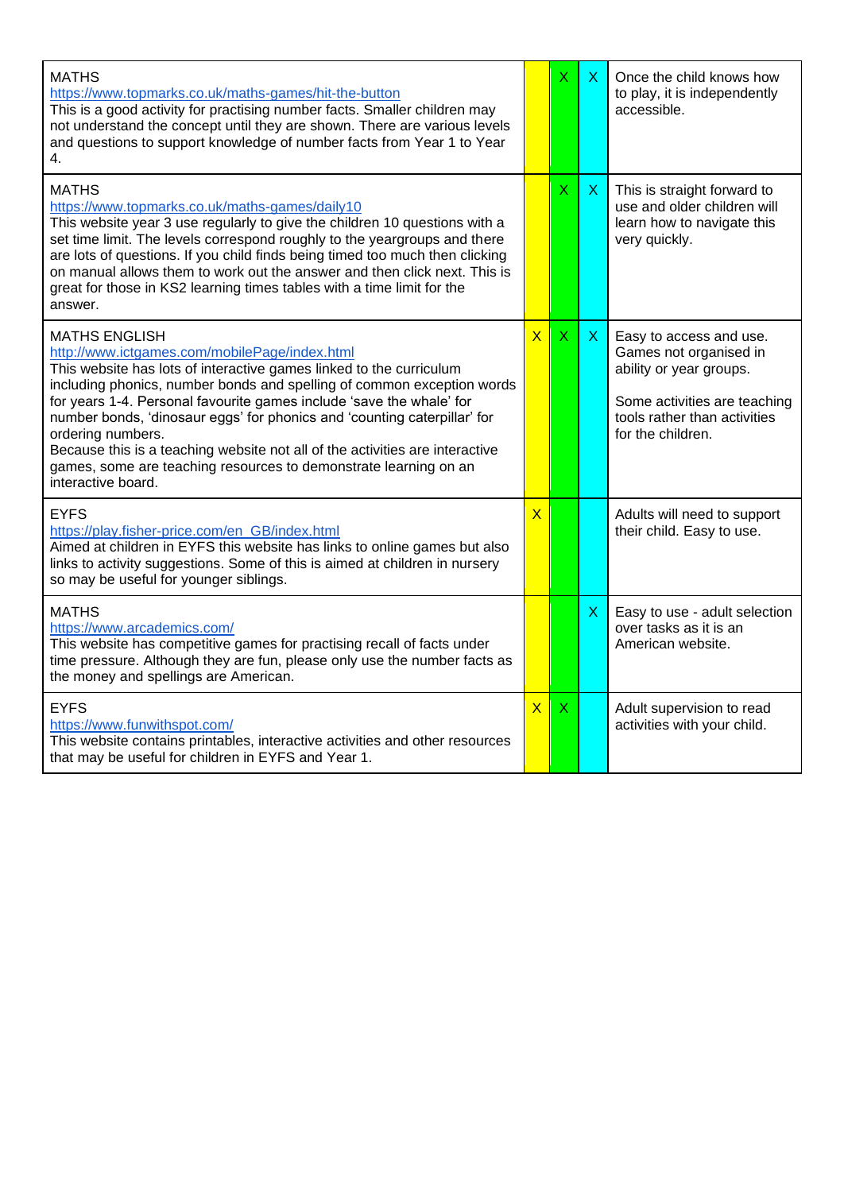| <b>MATHS</b><br>https://www.topmarks.co.uk/maths-games/hit-the-button<br>This is a good activity for practising number facts. Smaller children may<br>not understand the concept until they are shown. There are various levels<br>and questions to support knowledge of number facts from Year 1 to Year<br>4.                                                                                                                                                                                                                                                    |                         | X            | X.           | Once the child knows how<br>to play, it is independently<br>accessible.                                                                                           |
|--------------------------------------------------------------------------------------------------------------------------------------------------------------------------------------------------------------------------------------------------------------------------------------------------------------------------------------------------------------------------------------------------------------------------------------------------------------------------------------------------------------------------------------------------------------------|-------------------------|--------------|--------------|-------------------------------------------------------------------------------------------------------------------------------------------------------------------|
| <b>MATHS</b><br>https://www.topmarks.co.uk/maths-games/daily10<br>This website year 3 use regularly to give the children 10 questions with a<br>set time limit. The levels correspond roughly to the yeargroups and there<br>are lots of questions. If you child finds being timed too much then clicking<br>on manual allows them to work out the answer and then click next. This is<br>great for those in KS2 learning times tables with a time limit for the<br>answer.                                                                                        |                         | $\mathsf{X}$ | $\mathsf{X}$ | This is straight forward to<br>use and older children will<br>learn how to navigate this<br>very quickly.                                                         |
| MATHS ENGLISH<br>http://www.ictgames.com/mobilePage/index.html<br>This website has lots of interactive games linked to the curriculum<br>including phonics, number bonds and spelling of common exception words<br>for years 1-4. Personal favourite games include 'save the whale' for<br>number bonds, 'dinosaur eggs' for phonics and 'counting caterpillar' for<br>ordering numbers.<br>Because this is a teaching website not all of the activities are interactive<br>games, some are teaching resources to demonstrate learning on an<br>interactive board. | $\overline{\mathsf{X}}$ | $\mathsf{X}$ | X            | Easy to access and use.<br>Games not organised in<br>ability or year groups.<br>Some activities are teaching<br>tools rather than activities<br>for the children. |
| <b>EYFS</b><br>https://play.fisher-price.com/en_GB/index.html<br>Aimed at children in EYFS this website has links to online games but also<br>links to activity suggestions. Some of this is aimed at children in nursery<br>so may be useful for younger siblings.                                                                                                                                                                                                                                                                                                | $\overline{\mathsf{x}}$ |              |              | Adults will need to support<br>their child. Easy to use.                                                                                                          |
| <b>MATHS</b><br>https://www.arcademics.com/<br>This website has competitive games for practising recall of facts under<br>time pressure. Although they are fun, please only use the number facts as<br>the money and spellings are American.                                                                                                                                                                                                                                                                                                                       |                         |              | $\mathsf{X}$ | Easy to use - adult selection<br>over tasks as it is an<br>American website.                                                                                      |
| <b>EYFS</b><br>https://www.funwithspot.com/<br>This website contains printables, interactive activities and other resources<br>that may be useful for children in EYFS and Year 1.                                                                                                                                                                                                                                                                                                                                                                                 | $\mathsf{X}$            | $\mathsf{X}$ |              | Adult supervision to read<br>activities with your child.                                                                                                          |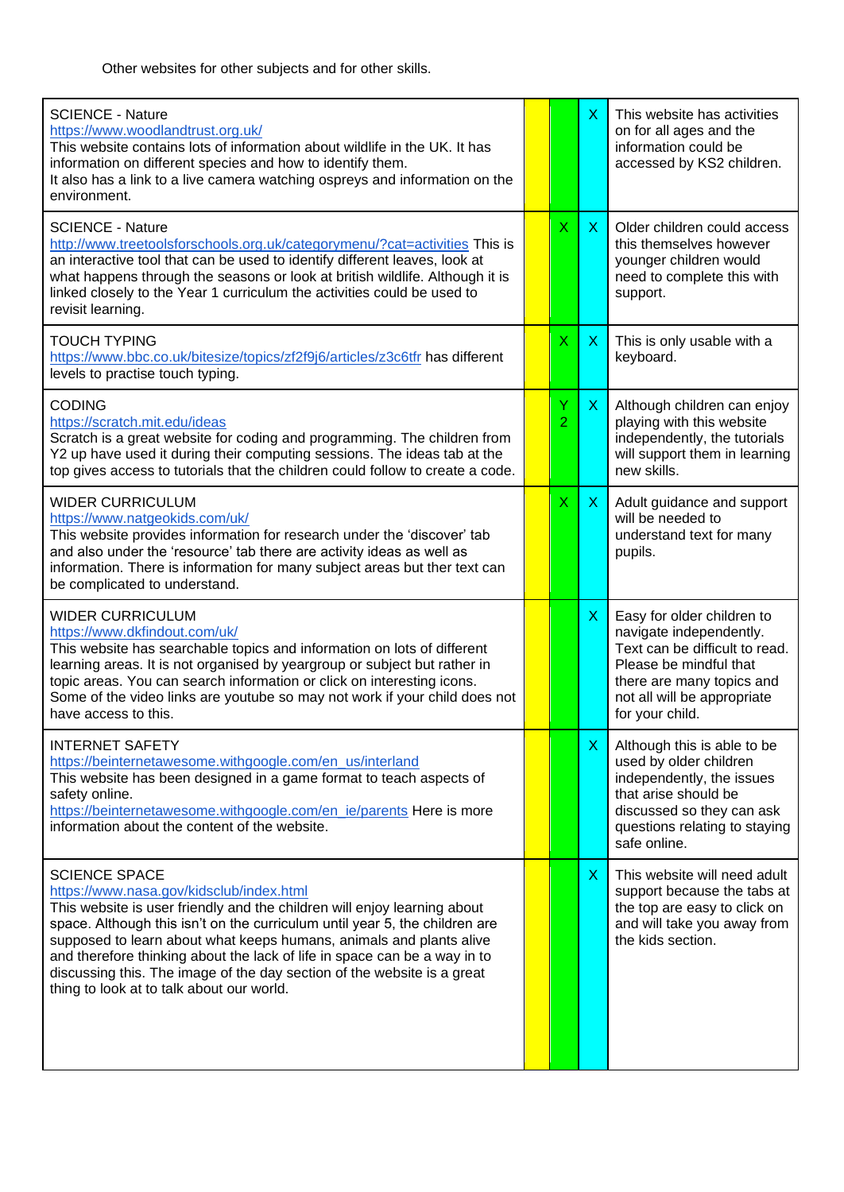Other websites for other subjects and for other skills.

| <b>SCIENCE - Nature</b><br>https://www.woodlandtrust.org.uk/<br>This website contains lots of information about wildlife in the UK. It has<br>information on different species and how to identify them.<br>It also has a link to a live camera watching ospreys and information on the<br>environment.                                                                                                                                                                                                 |                | X.           | This website has activities<br>on for all ages and the<br>information could be<br>accessed by KS2 children.                                                                                      |
|---------------------------------------------------------------------------------------------------------------------------------------------------------------------------------------------------------------------------------------------------------------------------------------------------------------------------------------------------------------------------------------------------------------------------------------------------------------------------------------------------------|----------------|--------------|--------------------------------------------------------------------------------------------------------------------------------------------------------------------------------------------------|
| <b>SCIENCE - Nature</b><br>http://www.treetoolsforschools.org.uk/categorymenu/?cat=activities This is<br>an interactive tool that can be used to identify different leaves, look at<br>what happens through the seasons or look at british wildlife. Although it is<br>linked closely to the Year 1 curriculum the activities could be used to<br>revisit learning.                                                                                                                                     | $\mathsf{X}$   | $\mathsf{X}$ | Older children could access<br>this themselves however<br>younger children would<br>need to complete this with<br>support.                                                                       |
| <b>TOUCH TYPING</b><br>https://www.bbc.co.uk/bitesize/topics/zf2f9j6/articles/z3c6tfr has different<br>levels to practise touch typing.                                                                                                                                                                                                                                                                                                                                                                 | X              | X            | This is only usable with a<br>keyboard.                                                                                                                                                          |
| <b>CODING</b><br>https://scratch.mit.edu/ideas<br>Scratch is a great website for coding and programming. The children from<br>Y2 up have used it during their computing sessions. The ideas tab at the<br>top gives access to tutorials that the children could follow to create a code.                                                                                                                                                                                                                | Ÿ<br>2         | $\mathsf{X}$ | Although children can enjoy<br>playing with this website<br>independently, the tutorials<br>will support them in learning<br>new skills.                                                         |
| <b>WIDER CURRICULUM</b><br>https://www.natgeokids.com/uk/<br>This website provides information for research under the 'discover' tab<br>and also under the 'resource' tab there are activity ideas as well as<br>information. There is information for many subject areas but ther text can<br>be complicated to understand.                                                                                                                                                                            | $\overline{X}$ | X.           | Adult guidance and support<br>will be needed to<br>understand text for many<br>pupils.                                                                                                           |
| <b>WIDER CURRICULUM</b><br>https://www.dkfindout.com/uk/<br>This website has searchable topics and information on lots of different<br>learning areas. It is not organised by yeargroup or subject but rather in<br>topic areas. You can search information or click on interesting icons.<br>Some of the video links are youtube so may not work if your child does not<br>have access to this.                                                                                                        |                | X.           | Easy for older children to<br>navigate independently.<br>Text can be difficult to read.<br>Please be mindful that<br>there are many topics and<br>not all will be appropriate<br>for your child. |
| <b>INTERNET SAFETY</b><br>https://beinternetawesome.withgoogle.com/en_us/interland<br>This website has been designed in a game format to teach aspects of<br>safety online.<br>https://beinternetawesome.withgoogle.com/en_ie/parents Here is more<br>information about the content of the website.                                                                                                                                                                                                     |                | X            | Although this is able to be<br>used by older children<br>independently, the issues<br>that arise should be<br>discussed so they can ask<br>questions relating to staying<br>safe online.         |
| <b>SCIENCE SPACE</b><br>https://www.nasa.gov/kidsclub/index.html<br>This website is user friendly and the children will enjoy learning about<br>space. Although this isn't on the curriculum until year 5, the children are<br>supposed to learn about what keeps humans, animals and plants alive<br>and therefore thinking about the lack of life in space can be a way in to<br>discussing this. The image of the day section of the website is a great<br>thing to look at to talk about our world. |                | X.           | This website will need adult<br>support because the tabs at<br>the top are easy to click on<br>and will take you away from<br>the kids section.                                                  |